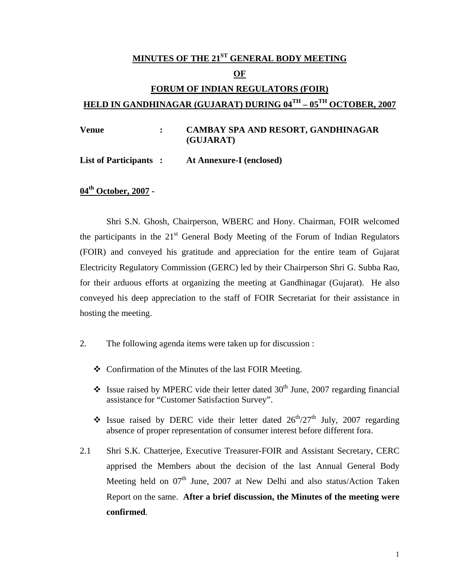# **MINUTES OF THE 21ST GENERAL BODY MEETING OF FORUM OF INDIAN REGULATORS (FOIR) HELD IN GANDHINAGAR (GUJARAT) DURING 04TH – 05TH OCTOBER, 2007**

**Venue : CAMBAY SPA AND RESORT, GANDHINAGAR (GUJARAT)** 

**List of Participants : At Annexure-I (enclosed)** 

**04th October, 2007 -** 

Shri S.N. Ghosh, Chairperson, WBERC and Hony. Chairman, FOIR welcomed the participants in the  $21<sup>st</sup>$  General Body Meeting of the Forum of Indian Regulators (FOIR) and conveyed his gratitude and appreciation for the entire team of Gujarat Electricity Regulatory Commission (GERC) led by their Chairperson Shri G. Subba Rao, for their arduous efforts at organizing the meeting at Gandhinagar (Gujarat). He also conveyed his deep appreciation to the staff of FOIR Secretariat for their assistance in hosting the meeting.

- 2. The following agenda items were taken up for discussion :
	- Confirmation of the Minutes of the last FOIR Meeting.
	- States Issue raised by MPERC vide their letter dated  $30<sup>th</sup>$  June, 2007 regarding financial assistance for "Customer Satisfaction Survey".
	- Solution Issue raised by DERC vide their letter dated  $26^{th}/27^{th}$  July, 2007 regarding absence of proper representation of consumer interest before different fora.
- 2.1 Shri S.K. Chatterjee, Executive Treasurer-FOIR and Assistant Secretary, CERC apprised the Members about the decision of the last Annual General Body Meeting held on  $07<sup>th</sup>$  June, 2007 at New Delhi and also status/Action Taken Report on the same. **After a brief discussion, the Minutes of the meeting were confirmed**.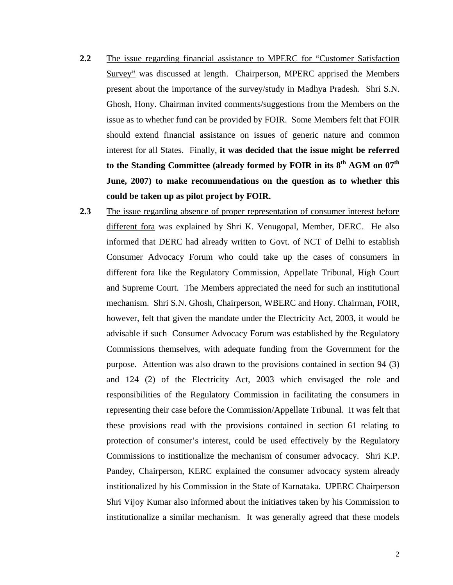- **2.2** The issue regarding financial assistance to MPERC for "Customer Satisfaction Survey" was discussed at length. Chairperson, MPERC apprised the Members present about the importance of the survey/study in Madhya Pradesh. Shri S.N. Ghosh, Hony. Chairman invited comments/suggestions from the Members on the issue as to whether fund can be provided by FOIR. Some Members felt that FOIR should extend financial assistance on issues of generic nature and common interest for all States. Finally, **it was decided that the issue might be referred to the Standing Committee (already formed by FOIR in its 8th AGM on 07th June, 2007) to make recommendations on the question as to whether this could be taken up as pilot project by FOIR.**
- **2.3** The issue regarding absence of proper representation of consumer interest before different fora was explained by Shri K. Venugopal, Member, DERC. He also informed that DERC had already written to Govt. of NCT of Delhi to establish Consumer Advocacy Forum who could take up the cases of consumers in different fora like the Regulatory Commission, Appellate Tribunal, High Court and Supreme Court. The Members appreciated the need for such an institutional mechanism. Shri S.N. Ghosh, Chairperson, WBERC and Hony. Chairman, FOIR, however, felt that given the mandate under the Electricity Act, 2003, it would be advisable if such Consumer Advocacy Forum was established by the Regulatory Commissions themselves, with adequate funding from the Government for the purpose. Attention was also drawn to the provisions contained in section 94 (3) and 124 (2) of the Electricity Act, 2003 which envisaged the role and responsibilities of the Regulatory Commission in facilitating the consumers in representing their case before the Commission/Appellate Tribunal. It was felt that these provisions read with the provisions contained in section 61 relating to protection of consumer's interest, could be used effectively by the Regulatory Commissions to institionalize the mechanism of consumer advocacy. Shri K.P. Pandey, Chairperson, KERC explained the consumer advocacy system already institionalized by his Commission in the State of Karnataka. UPERC Chairperson Shri Vijoy Kumar also informed about the initiatives taken by his Commission to institutionalize a similar mechanism. It was generally agreed that these models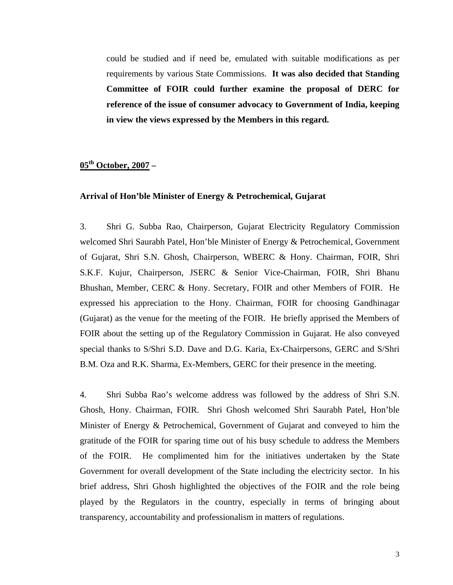could be studied and if need be, emulated with suitable modifications as per requirements by various State Commissions. **It was also decided that Standing Committee of FOIR could further examine the proposal of DERC for reference of the issue of consumer advocacy to Government of India, keeping in view the views expressed by the Members in this regard.** 

### **05th October, 2007 –**

#### **Arrival of Hon'ble Minister of Energy & Petrochemical, Gujarat**

3. Shri G. Subba Rao, Chairperson, Gujarat Electricity Regulatory Commission welcomed Shri Saurabh Patel, Hon'ble Minister of Energy & Petrochemical, Government of Gujarat, Shri S.N. Ghosh, Chairperson, WBERC & Hony. Chairman, FOIR, Shri S.K.F. Kujur, Chairperson, JSERC & Senior Vice-Chairman, FOIR, Shri Bhanu Bhushan, Member, CERC & Hony. Secretary, FOIR and other Members of FOIR. He expressed his appreciation to the Hony. Chairman, FOIR for choosing Gandhinagar (Gujarat) as the venue for the meeting of the FOIR. He briefly apprised the Members of FOIR about the setting up of the Regulatory Commission in Gujarat. He also conveyed special thanks to S/Shri S.D. Dave and D.G. Karia, Ex-Chairpersons, GERC and S/Shri B.M. Oza and R.K. Sharma, Ex-Members, GERC for their presence in the meeting.

4. Shri Subba Rao's welcome address was followed by the address of Shri S.N. Ghosh, Hony. Chairman, FOIR. Shri Ghosh welcomed Shri Saurabh Patel, Hon'ble Minister of Energy & Petrochemical, Government of Gujarat and conveyed to him the gratitude of the FOIR for sparing time out of his busy schedule to address the Members of the FOIR. He complimented him for the initiatives undertaken by the State Government for overall development of the State including the electricity sector. In his brief address, Shri Ghosh highlighted the objectives of the FOIR and the role being played by the Regulators in the country, especially in terms of bringing about transparency, accountability and professionalism in matters of regulations.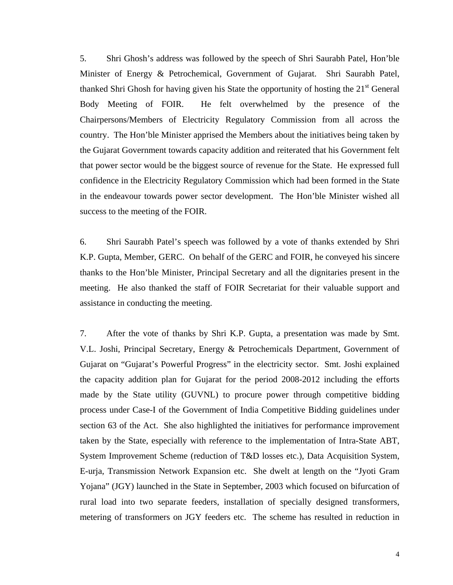5. Shri Ghosh's address was followed by the speech of Shri Saurabh Patel, Hon'ble Minister of Energy & Petrochemical, Government of Gujarat. Shri Saurabh Patel, thanked Shri Ghosh for having given his State the opportunity of hosting the  $21<sup>st</sup>$  General Body Meeting of FOIR. He felt overwhelmed by the presence of the Chairpersons/Members of Electricity Regulatory Commission from all across the country. The Hon'ble Minister apprised the Members about the initiatives being taken by the Gujarat Government towards capacity addition and reiterated that his Government felt that power sector would be the biggest source of revenue for the State. He expressed full confidence in the Electricity Regulatory Commission which had been formed in the State in the endeavour towards power sector development. The Hon'ble Minister wished all success to the meeting of the FOIR.

6. Shri Saurabh Patel's speech was followed by a vote of thanks extended by Shri K.P. Gupta, Member, GERC. On behalf of the GERC and FOIR, he conveyed his sincere thanks to the Hon'ble Minister, Principal Secretary and all the dignitaries present in the meeting. He also thanked the staff of FOIR Secretariat for their valuable support and assistance in conducting the meeting.

7. After the vote of thanks by Shri K.P. Gupta, a presentation was made by Smt. V.L. Joshi, Principal Secretary, Energy & Petrochemicals Department, Government of Gujarat on "Gujarat's Powerful Progress" in the electricity sector. Smt. Joshi explained the capacity addition plan for Gujarat for the period 2008-2012 including the efforts made by the State utility (GUVNL) to procure power through competitive bidding process under Case-I of the Government of India Competitive Bidding guidelines under section 63 of the Act. She also highlighted the initiatives for performance improvement taken by the State, especially with reference to the implementation of Intra-State ABT, System Improvement Scheme (reduction of T&D losses etc.), Data Acquisition System, E-urja, Transmission Network Expansion etc. She dwelt at length on the "Jyoti Gram Yojana" (JGY) launched in the State in September, 2003 which focused on bifurcation of rural load into two separate feeders, installation of specially designed transformers, metering of transformers on JGY feeders etc. The scheme has resulted in reduction in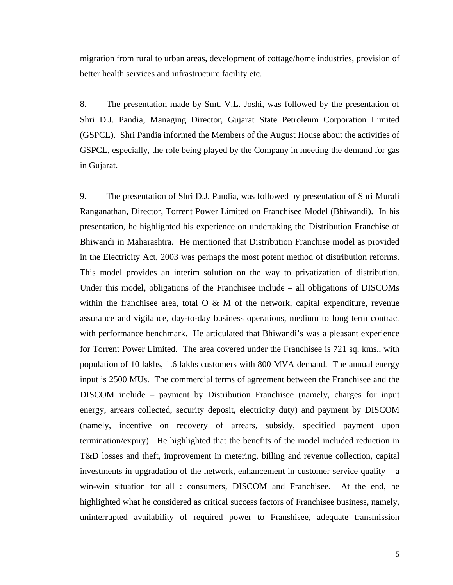migration from rural to urban areas, development of cottage/home industries, provision of better health services and infrastructure facility etc.

8. The presentation made by Smt. V.L. Joshi, was followed by the presentation of Shri D.J. Pandia, Managing Director, Gujarat State Petroleum Corporation Limited (GSPCL). Shri Pandia informed the Members of the August House about the activities of GSPCL, especially, the role being played by the Company in meeting the demand for gas in Gujarat.

9. The presentation of Shri D.J. Pandia, was followed by presentation of Shri Murali Ranganathan, Director, Torrent Power Limited on Franchisee Model (Bhiwandi). In his presentation, he highlighted his experience on undertaking the Distribution Franchise of Bhiwandi in Maharashtra. He mentioned that Distribution Franchise model as provided in the Electricity Act, 2003 was perhaps the most potent method of distribution reforms. This model provides an interim solution on the way to privatization of distribution. Under this model, obligations of the Franchisee include – all obligations of DISCOMs within the franchisee area, total  $O \& M$  of the network, capital expenditure, revenue assurance and vigilance, day-to-day business operations, medium to long term contract with performance benchmark. He articulated that Bhiwandi's was a pleasant experience for Torrent Power Limited. The area covered under the Franchisee is 721 sq. kms., with population of 10 lakhs, 1.6 lakhs customers with 800 MVA demand. The annual energy input is 2500 MUs. The commercial terms of agreement between the Franchisee and the DISCOM include – payment by Distribution Franchisee (namely, charges for input energy, arrears collected, security deposit, electricity duty) and payment by DISCOM (namely, incentive on recovery of arrears, subsidy, specified payment upon termination/expiry). He highlighted that the benefits of the model included reduction in T&D losses and theft, improvement in metering, billing and revenue collection, capital investments in upgradation of the network, enhancement in customer service quality  $- a$ win-win situation for all : consumers, DISCOM and Franchisee. At the end, he highlighted what he considered as critical success factors of Franchisee business, namely, uninterrupted availability of required power to Franshisee, adequate transmission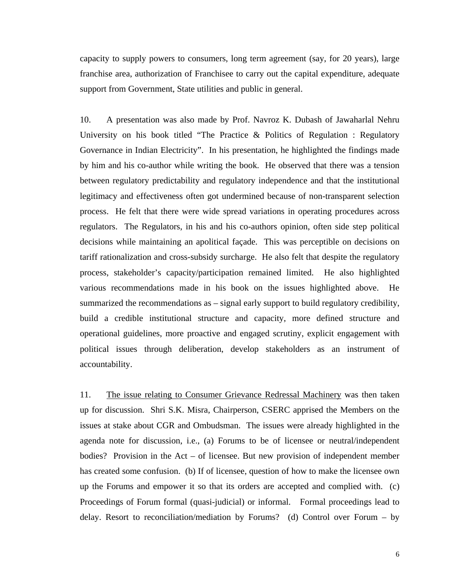capacity to supply powers to consumers, long term agreement (say, for 20 years), large franchise area, authorization of Franchisee to carry out the capital expenditure, adequate support from Government, State utilities and public in general.

10. A presentation was also made by Prof. Navroz K. Dubash of Jawaharlal Nehru University on his book titled "The Practice  $\&$  Politics of Regulation : Regulatory Governance in Indian Electricity". In his presentation, he highlighted the findings made by him and his co-author while writing the book. He observed that there was a tension between regulatory predictability and regulatory independence and that the institutional legitimacy and effectiveness often got undermined because of non-transparent selection process. He felt that there were wide spread variations in operating procedures across regulators. The Regulators, in his and his co-authors opinion, often side step political decisions while maintaining an apolitical façade. This was perceptible on decisions on tariff rationalization and cross-subsidy surcharge. He also felt that despite the regulatory process, stakeholder's capacity/participation remained limited. He also highlighted various recommendations made in his book on the issues highlighted above. He summarized the recommendations as – signal early support to build regulatory credibility, build a credible institutional structure and capacity, more defined structure and operational guidelines, more proactive and engaged scrutiny, explicit engagement with political issues through deliberation, develop stakeholders as an instrument of accountability.

11. The issue relating to Consumer Grievance Redressal Machinery was then taken up for discussion. Shri S.K. Misra, Chairperson, CSERC apprised the Members on the issues at stake about CGR and Ombudsman. The issues were already highlighted in the agenda note for discussion, i.e., (a) Forums to be of licensee or neutral/independent bodies? Provision in the Act – of licensee. But new provision of independent member has created some confusion. (b) If of licensee, question of how to make the licensee own up the Forums and empower it so that its orders are accepted and complied with. (c) Proceedings of Forum formal (quasi-judicial) or informal. Formal proceedings lead to delay. Resort to reconciliation/mediation by Forums? (d) Control over Forum – by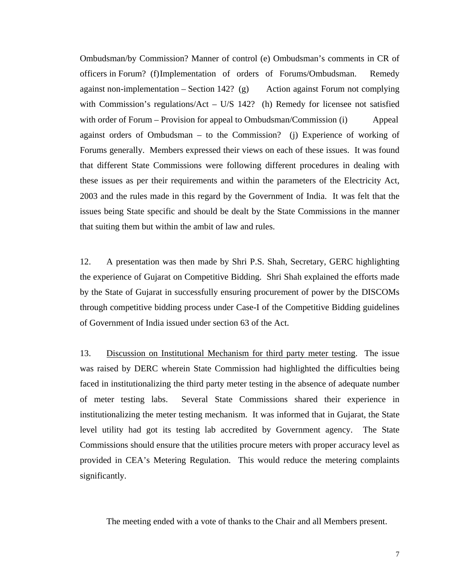Ombudsman/by Commission? Manner of control (e) Ombudsman's comments in CR of officers in Forum? (f) Implementation of orders of Forums/Ombudsman. Remedy against non-implementation  $-$  Section 142? (g) Action against Forum not complying with Commission's regulations/Act – U/S 142? (h) Remedy for licensee not satisfied with order of Forum – Provision for appeal to Ombudsman/Commission (i) Appeal against orders of Ombudsman – to the Commission? (j) Experience of working of Forums generally. Members expressed their views on each of these issues. It was found that different State Commissions were following different procedures in dealing with these issues as per their requirements and within the parameters of the Electricity Act, 2003 and the rules made in this regard by the Government of India. It was felt that the issues being State specific and should be dealt by the State Commissions in the manner that suiting them but within the ambit of law and rules.

12. A presentation was then made by Shri P.S. Shah, Secretary, GERC highlighting the experience of Gujarat on Competitive Bidding. Shri Shah explained the efforts made by the State of Gujarat in successfully ensuring procurement of power by the DISCOMs through competitive bidding process under Case-I of the Competitive Bidding guidelines of Government of India issued under section 63 of the Act.

13. Discussion on Institutional Mechanism for third party meter testing. The issue was raised by DERC wherein State Commission had highlighted the difficulties being faced in institutionalizing the third party meter testing in the absence of adequate number of meter testing labs. Several State Commissions shared their experience in institutionalizing the meter testing mechanism. It was informed that in Gujarat, the State level utility had got its testing lab accredited by Government agency. The State Commissions should ensure that the utilities procure meters with proper accuracy level as provided in CEA's Metering Regulation. This would reduce the metering complaints significantly.

The meeting ended with a vote of thanks to the Chair and all Members present.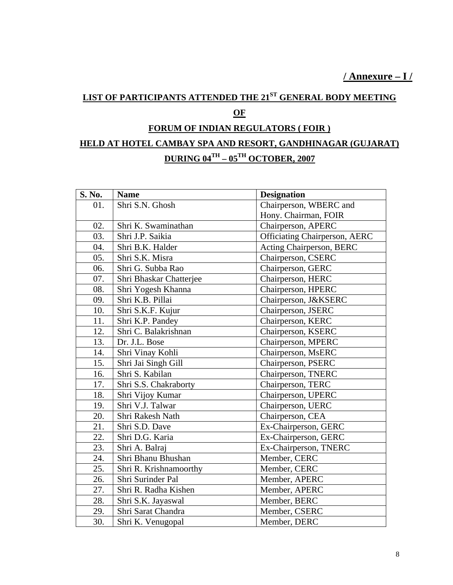**/ Annexure – I /**

## **LIST OF PARTICIPANTS ATTENDED THE 21ST GENERAL BODY MEETING OF FORUM OF INDIAN REGULATORS ( FOIR )**

### **HELD AT HOTEL CAMBAY SPA AND RESORT, GANDHINAGAR (GUJARAT) DURING 04TH – 05TH OCTOBER, 2007**

| S. No. | <b>Name</b>             | <b>Designation</b>                   |
|--------|-------------------------|--------------------------------------|
| 01.    | Shri S.N. Ghosh         | Chairperson, WBERC and               |
|        |                         | Hony. Chairman, FOIR                 |
| 02.    | Shri K. Swaminathan     | Chairperson, APERC                   |
| 03.    | Shri J.P. Saikia        | <b>Officiating Chairperson, AERC</b> |
| 04.    | Shri B.K. Halder        | Acting Chairperson, BERC             |
| 05.    | Shri S.K. Misra         | Chairperson, CSERC                   |
| 06.    | Shri G. Subba Rao       | Chairperson, GERC                    |
| 07.    | Shri Bhaskar Chatterjee | Chairperson, HERC                    |
| 08.    | Shri Yogesh Khanna      | Chairperson, HPERC                   |
| 09.    | Shri K.B. Pillai        | Chairperson, J&KSERC                 |
| 10.    | Shri S.K.F. Kujur       | Chairperson, JSERC                   |
| 11.    | Shri K.P. Pandey        | Chairperson, KERC                    |
| 12.    | Shri C. Balakrishnan    | Chairperson, KSERC                   |
| 13.    | Dr. J.L. Bose           | Chairperson, MPERC                   |
| 14.    | Shri Vinay Kohli        | Chairperson, MsERC                   |
| 15.    | Shri Jai Singh Gill     | Chairperson, PSERC                   |
| 16.    | Shri S. Kabilan         | Chairperson, TNERC                   |
| 17.    | Shri S.S. Chakraborty   | Chairperson, TERC                    |
| 18.    | Shri Vijoy Kumar        | Chairperson, UPERC                   |
| 19.    | Shri V.J. Talwar        | Chairperson, UERC                    |
| 20.    | Shri Rakesh Nath        | Chairperson, CEA                     |
| 21.    | Shri S.D. Dave          | Ex-Chairperson, GERC                 |
| 22.    | Shri D.G. Karia         | Ex-Chairperson, GERC                 |
| 23.    | Shri A. Balraj          | Ex-Chairperson, TNERC                |
| 24.    | Shri Bhanu Bhushan      | Member, CERC                         |
| 25.    | Shri R. Krishnamoorthy  | Member, CERC                         |
| 26.    | Shri Surinder Pal       | Member, APERC                        |
| 27.    | Shri R. Radha Kishen    | Member, APERC                        |
| 28.    | Shri S.K. Jayaswal      | Member, BERC                         |
| 29.    | Shri Sarat Chandra      | Member, CSERC                        |
| 30.    | Shri K. Venugopal       | Member, DERC                         |